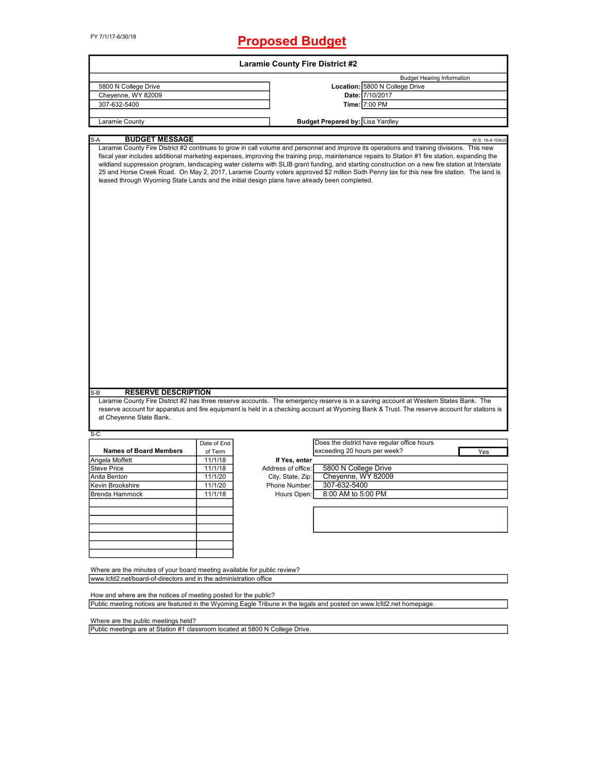FY 7/1/17-6/30/18

## **Proposed Budget**

| 5800 N College Drive<br>Cheyenne, WY 82009<br>307-632-5400                                        |             | <b>Laramie County Fire District #2</b> |                                                                                                                                                                                                                                                                                                                                                                                                                                                                                                                                                                                               |                  |
|---------------------------------------------------------------------------------------------------|-------------|----------------------------------------|-----------------------------------------------------------------------------------------------------------------------------------------------------------------------------------------------------------------------------------------------------------------------------------------------------------------------------------------------------------------------------------------------------------------------------------------------------------------------------------------------------------------------------------------------------------------------------------------------|------------------|
|                                                                                                   |             |                                        | <b>Budget Hearing Information</b>                                                                                                                                                                                                                                                                                                                                                                                                                                                                                                                                                             |                  |
|                                                                                                   |             |                                        | Location: 5800 N College Drive                                                                                                                                                                                                                                                                                                                                                                                                                                                                                                                                                                |                  |
|                                                                                                   |             |                                        | Date: 7/10/2017                                                                                                                                                                                                                                                                                                                                                                                                                                                                                                                                                                               |                  |
|                                                                                                   |             |                                        | Time: 7:00 PM                                                                                                                                                                                                                                                                                                                                                                                                                                                                                                                                                                                 |                  |
|                                                                                                   |             |                                        |                                                                                                                                                                                                                                                                                                                                                                                                                                                                                                                                                                                               |                  |
| Laramie County                                                                                    |             |                                        | <b>Budget Prepared by: Lisa Yardley</b>                                                                                                                                                                                                                                                                                                                                                                                                                                                                                                                                                       |                  |
| <b>BUDGET MESSAGE</b><br>S-A                                                                      |             |                                        |                                                                                                                                                                                                                                                                                                                                                                                                                                                                                                                                                                                               | W.S. 16-4-104(d) |
| leased through Wyoming State Lands and the initial design plans have already been completed.      |             |                                        | Laramie County Fire District #2 continues to grow in call volume and personnel and improve its operations and training divisions. This new<br>fiscal year includes additional marketing expenses, improving the training prop, maintenance repairs to Station #1 fire station, expanding the<br>wildland suppression program, landscaping water cisterns with SLIB grant funding, and starting construction on a new fire station at Interstate<br>25 and Horse Creek Road. On May 2, 2017, Laramie County voters approved \$2 million Sixth Penny tax for this new fire station. The land is |                  |
|                                                                                                   |             |                                        |                                                                                                                                                                                                                                                                                                                                                                                                                                                                                                                                                                                               |                  |
| <b>RESERVE DESCRIPTION</b><br>$S-B$                                                               |             |                                        | Laramie County Fire District #2 has three reserve accounts. The emergency reserve is in a saving account at Western States Bank. The<br>reserve account for apparatus and fire equipment is held in a checking account at Wyoming Bank & Trust. The reserve account for stations is                                                                                                                                                                                                                                                                                                           |                  |
| at Cheyenne State Bank.                                                                           |             |                                        |                                                                                                                                                                                                                                                                                                                                                                                                                                                                                                                                                                                               |                  |
|                                                                                                   |             |                                        |                                                                                                                                                                                                                                                                                                                                                                                                                                                                                                                                                                                               |                  |
|                                                                                                   | Date of End |                                        | Does the district have regular office hours                                                                                                                                                                                                                                                                                                                                                                                                                                                                                                                                                   |                  |
|                                                                                                   |             |                                        |                                                                                                                                                                                                                                                                                                                                                                                                                                                                                                                                                                                               |                  |
| <b>Names of Board Members</b>                                                                     | of Term     |                                        | exceeding 20 hours per week?                                                                                                                                                                                                                                                                                                                                                                                                                                                                                                                                                                  | Yes              |
|                                                                                                   | 11/1/18     | If Yes, enter                          |                                                                                                                                                                                                                                                                                                                                                                                                                                                                                                                                                                                               |                  |
|                                                                                                   | 11/1/18     | Address of office:                     | 5800 N College Drive                                                                                                                                                                                                                                                                                                                                                                                                                                                                                                                                                                          |                  |
|                                                                                                   | 11/1/20     | City, State, Zip:                      | Cheyenne, WY 82009                                                                                                                                                                                                                                                                                                                                                                                                                                                                                                                                                                            |                  |
|                                                                                                   | 11/1/20     | Phone Number:                          | 307-632-5400                                                                                                                                                                                                                                                                                                                                                                                                                                                                                                                                                                                  |                  |
|                                                                                                   | 11/1/18     | Hours Open:                            | 8:00 AM to 5:00 PM                                                                                                                                                                                                                                                                                                                                                                                                                                                                                                                                                                            |                  |
|                                                                                                   |             |                                        |                                                                                                                                                                                                                                                                                                                                                                                                                                                                                                                                                                                               |                  |
|                                                                                                   |             |                                        |                                                                                                                                                                                                                                                                                                                                                                                                                                                                                                                                                                                               |                  |
|                                                                                                   |             |                                        |                                                                                                                                                                                                                                                                                                                                                                                                                                                                                                                                                                                               |                  |
| S-C<br>Angela Moffett<br><b>Steve Price</b><br>Anita Benton<br>Kevin Brookshire<br>Brenda Hammock |             |                                        |                                                                                                                                                                                                                                                                                                                                                                                                                                                                                                                                                                                               |                  |
|                                                                                                   |             |                                        |                                                                                                                                                                                                                                                                                                                                                                                                                                                                                                                                                                                               |                  |
|                                                                                                   |             |                                        |                                                                                                                                                                                                                                                                                                                                                                                                                                                                                                                                                                                               |                  |
|                                                                                                   |             |                                        |                                                                                                                                                                                                                                                                                                                                                                                                                                                                                                                                                                                               |                  |
| Where are the minutes of your board meeting available for public review?                          |             |                                        |                                                                                                                                                                                                                                                                                                                                                                                                                                                                                                                                                                                               |                  |
| www.lcfd2.net/board-of-directors and in the administration office                                 |             |                                        |                                                                                                                                                                                                                                                                                                                                                                                                                                                                                                                                                                                               |                  |
| How and where are the notices of meeting posted for the public?                                   |             |                                        |                                                                                                                                                                                                                                                                                                                                                                                                                                                                                                                                                                                               |                  |

Where are the public meetings held?

Public meetings are at Station #1 classroom located at 5800 N College Drive.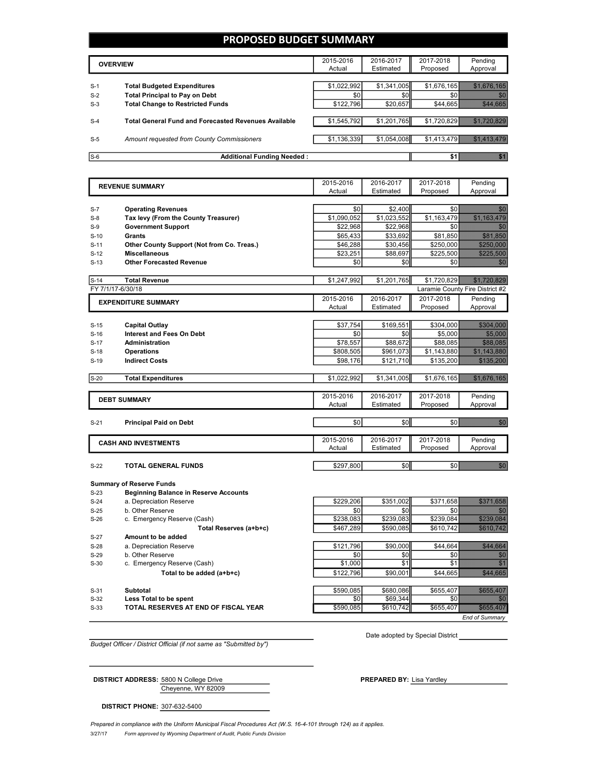#### **PROPOSED BUDGET SUMMARY**

|       | <b>OVERVIEW</b>                                             | 2015-2016<br>Actual | 2016-2017<br>Estimated | 2017-2018<br>Proposed | Pending<br>Approval |
|-------|-------------------------------------------------------------|---------------------|------------------------|-----------------------|---------------------|
|       |                                                             |                     |                        |                       |                     |
| $S-1$ | <b>Total Budgeted Expenditures</b>                          | \$1.022.992         | \$1,341,005            | \$1.676.165           |                     |
| $S-2$ | <b>Total Principal to Pay on Debt</b>                       | \$0                 | \$0                    |                       |                     |
| $S-3$ | <b>Total Change to Restricted Funds</b>                     | \$122,796           | \$20,657               | \$44,665              |                     |
|       |                                                             |                     |                        |                       |                     |
| $S-4$ | <b>Total General Fund and Forecasted Revenues Available</b> | \$1,545,792         | \$1,201,765            | \$1.720.829           |                     |
|       |                                                             |                     |                        |                       |                     |
| $S-5$ | Amount requested from County Commissioners                  | \$1,136,339         | \$1,054,008            | \$1,413,479           |                     |
|       |                                                             |                     |                        |                       |                     |
| $S-6$ | <b>Additional Funding Needed:</b>                           |                     |                        |                       |                     |

2015-2016 Actual 2016-2017 Estimated 2017-2018 Proposed Pending Approval S-7 **Operating Revenues by a set of the Second Second Second Second Second Second Second Second Second Second Second Second Second Second Second Second Second Second Second Second Second Second Second Second Second Secon** S-8 **Tax levy (From the County Treasurer)** \$1,090,052 \$1,023,552 \$1,163,479 \$1,163,479 S-9 **Government Support** \$22,968 \$22,968 \$0 \$0 S-10 **Grants** \$65,433 \$33,692 \$81,850 \$33,692 \$81,850 \$ S-11 **Other County Support (Not from Co. Treas.)** \$46,288 \$30,456 \$250,000 \$250,000 S-12 **Miscellaneous** \$23,251 \$88,697 \$225,500 \$225,500 S-13 **Other Forecasted Revenue** \$0 \$0 \$0 \$0 **S-14 <b>Total Revenue by a set of the contract of the state of the state of the state of the state of the state of the state of the state of the state of the state of the state of the state of the state of the state of th** FY 7/1/17-6/30/18 Laramie County Fire District #2 2015-2016 Actual 2016-2017 Estimated 2017-2018 Proposed Pending Approval S-15 **Capital Outlay** \$37,754 \$169,551 \$304,000 S-16 **Interest and Fees On Debt** \$0 \$0 \$5,000 \$5,000 S-17 **Administration by a strategy and the ST8,557 \$88,672** \$88,085 \$88,085 S-18 **Operations** \$808,505 \$961,073 \$1,143,880 \$1,143,880 **Indirect Costs Indirect Costs 19 Indirect Costs 198,176 198,176 198,176 198,176 198,200** S-20 **Total Expenditures** \$1,022,992 \$1,341,005 \$1,676,165 \$1,676,165 2015-2016 Actual 2016-2017 Estimated 2017-2018 Proposed Pending Approval S-21 **Principal Paid on Debt** \$0 \$0 \$0 \$0 2015-2016 Actual 2016-2017 Estimated 2017-2018 Proposed Pending Approval S-22 **TOTAL GENERAL FUNDS** \$297,800 \$0 \$0 \$0 **EXPENDITURE SUMMARY REVENUE SUMMARY DEBT SUMMARY CASH AND INVESTMENTS**

**Summary of Reserve Funds**

S-23 **Beginning Balance in Reserve Accounts**

S-24 a. Depreciation Reserve **120 a. Depreciation Reserve 120 a. 5229,206** \$351,002 \$371,658

S-25 b. Other Reserve \$0 \$0 \$0 \$0

S-27 **Amount to be added**

S-33 **TOTAL RESERVES AT END OF FISCAL YEAR** \$590,085 \$610,742 \$655,407 \$655,407

S-26 c. Emergency Reserve (Cash) **1989 1989 1989 1989 1989 1989 1989 1989 1989 1989 1989 1989 1989 1989 1989 1989 1989 1989 1989 1989 1989 1989 1989 1989 1989 1989 1989 Total Reserves (a+b+c) 6467,289 \$590,085 \$610,742 \$610,742 \$610,742 \$610,742 \$610,742 \$610,742 \$610,742 \$610,742 \$610,742 \$610,742 \$610,742 \$610,742 \$610,742 \$610,742 \$61** S-28 a. Depreciation Reserve **120 a. S. 28 a. Depreciation Reserve** 5121,796 \$90,000 \$44,664 S-29 b. Other Reserve  $\overline{30}$   $\overline{30}$   $\overline{30}$   $\overline{30}$   $\overline{30}$   $\overline{30}$   $\overline{30}$   $\overline{30}$   $\overline{30}$   $\overline{30}$ S-30 c. Emergency Reserve (Cash)  $\begin{bmatrix} 51,000 \\ 1,000 \end{bmatrix}$   $\begin{bmatrix} 51 \\ 51 \end{bmatrix}$   $\begin{bmatrix} 51 \\ 51 \end{bmatrix}$ **Total to be added (a+b+c) <b>be added** (a+b+c) **because to the status of the status of the status of the status of**  $\frac{1}{2}$ S-31 **Subtotal** \$590,085 \$680,086 \$655,407 \$655,407 S-32 **Less Total to be spent** \$0 \$69,344 \$0 \$0

*End of Summary*

*Budget Officer / District Official (if not same as "Submitted by")*

Cheyenne, WY 82009

Date adopted by Special District

**DISTRICT ADDRESS:** 5800 N College Drive **PREPARED BY:** Lisa Yardley

**DISTRICT PHONE:** 307-632-5400

3/27/17 *Form approved by Wyoming Department of Audit, Public Funds Division* Prepared in compliance with the Uniform Municipal Fiscal Procedures Act (W.S. 16-4-101 through 124) as it applies.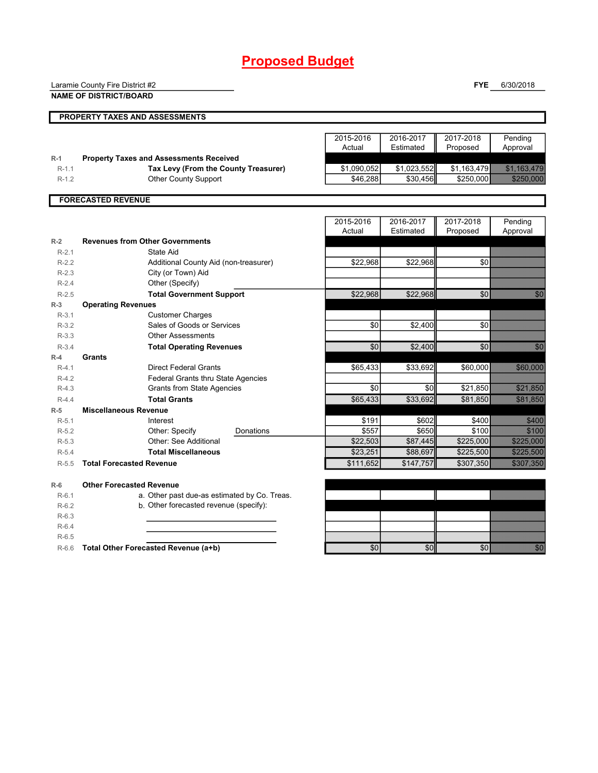# **Proposed Budget**

|         | Laramie County Fire District #2                |             |             | <b>FYE</b>  | 6/30/2018                                                                                                                                                                                                                       |
|---------|------------------------------------------------|-------------|-------------|-------------|---------------------------------------------------------------------------------------------------------------------------------------------------------------------------------------------------------------------------------|
|         | <b>NAME OF DISTRICT/BOARD</b>                  |             |             |             |                                                                                                                                                                                                                                 |
|         |                                                |             |             |             |                                                                                                                                                                                                                                 |
|         | PROPERTY TAXES AND ASSESSMENTS                 |             |             |             |                                                                                                                                                                                                                                 |
|         |                                                |             |             |             |                                                                                                                                                                                                                                 |
|         |                                                | 2015-2016   | 2016-2017   | 2017-2018   | Pending                                                                                                                                                                                                                         |
|         |                                                | Actual      | Estimated   | Proposed    | Approval                                                                                                                                                                                                                        |
| $R-1$   | <b>Property Taxes and Assessments Received</b> |             |             |             |                                                                                                                                                                                                                                 |
| $R-1.1$ | Tax Levy (From the County Treasurer)           | \$1,090,052 | \$1,023,552 | \$1,163,479 |                                                                                                                                                                                                                                 |
| $R-1.2$ | <b>Other County Support</b>                    | \$46,288    | \$30,456    | \$250,000   | 52532338                                                                                                                                                                                                                        |
|         | <b>FORECASTED REVENUE</b>                      |             |             |             |                                                                                                                                                                                                                                 |
|         |                                                |             |             |             |                                                                                                                                                                                                                                 |
|         |                                                | 2015-2016   | 2016-2017   | 2017-2018   | Pending                                                                                                                                                                                                                         |
|         |                                                | Actual      | Estimated   | Proposed    | Approval                                                                                                                                                                                                                        |
| $R-2$   | <b>Revenues from Other Governments</b>         |             |             |             |                                                                                                                                                                                                                                 |
| $R-2.1$ | <b>State Aid</b>                               |             |             |             |                                                                                                                                                                                                                                 |
| $R-2.2$ | Additional County Aid (non-treasurer)          | \$22,968    | \$22,968    | \$0         |                                                                                                                                                                                                                                 |
| $R-2.3$ | City (or Town) Aid                             |             |             |             |                                                                                                                                                                                                                                 |
| $R-2.4$ | Other (Specify)                                |             |             |             |                                                                                                                                                                                                                                 |
| $R-2.5$ | <b>Total Government Support</b>                | \$22,968    | \$22,968    | \$0         | n Ch                                                                                                                                                                                                                            |
| $R-3$   | <b>Operating Revenues</b>                      |             |             |             |                                                                                                                                                                                                                                 |
| $R-3.1$ | <b>Customer Charges</b>                        |             |             |             |                                                                                                                                                                                                                                 |
| $R-3.2$ | Sales of Goods or Services                     | $\sqrt{6}$  | \$2,400     | \$0         |                                                                                                                                                                                                                                 |
| $R-3.3$ | <b>Other Assessments</b>                       |             |             |             |                                                                                                                                                                                                                                 |
| $R-3.4$ | <b>Total Operating Revenues</b>                | \$0         | \$2,400     | \$0         | 73. J                                                                                                                                                                                                                           |
| $R-4$   | Grants                                         |             |             |             |                                                                                                                                                                                                                                 |
| $R-4.1$ | <b>Direct Federal Grants</b>                   | \$65,433    | \$33,692    | \$60,000    | seri soo                                                                                                                                                                                                                        |
| $R-4.2$ | <b>Federal Grants thru State Agencies</b>      |             |             |             |                                                                                                                                                                                                                                 |
| $R-4.3$ | <b>Grants from State Agencies</b>              | \$0         | \$0         | \$21,850    | <u>i alikuwa mwaka wa 1999.</u><br>Manazari                                                                                                                                                                                     |
| $R-4.4$ | <b>Total Grants</b>                            | \$65,433    | \$33,692    | \$81,850    |                                                                                                                                                                                                                                 |
| $R-5$   | <b>Miscellaneous Revenue</b>                   |             |             |             |                                                                                                                                                                                                                                 |
| $R-5.1$ | Interest                                       | \$191       | \$602       | \$400       | <b>SANTO SE</b>                                                                                                                                                                                                                 |
| $R-5.2$ | Other: Specify<br>Donations                    | \$557       | \$650       | \$100       |                                                                                                                                                                                                                                 |
| $R-5.3$ | Other: See Additional                          | \$22,503    | \$87,445    | \$225,000   | a a chuid ann an                                                                                                                                                                                                                |
| $R-5.4$ | <b>Total Miscellaneous</b>                     | \$23,251    | \$88,697    | \$225,500   | a a componente de la componenta del constituto del constituto del constituto del constituto del constituto de<br>Constituto del constituto del constituto del constituto del constituto del constituto del constituto del const |
| $R-5.5$ | <b>Total Forecasted Revenue</b>                | \$111,652   | \$147,757   | \$307,350   | <b>Romando</b>                                                                                                                                                                                                                  |
| $R-6$   | <b>Other Forecasted Revenue</b>                |             |             |             |                                                                                                                                                                                                                                 |
| $R-6.1$ | a. Other past due-as estimated by Co. Treas.   |             |             |             |                                                                                                                                                                                                                                 |
| $R-6.2$ | b. Other forecasted revenue (specify):         |             |             |             |                                                                                                                                                                                                                                 |
| $R-6.3$ |                                                |             |             |             |                                                                                                                                                                                                                                 |
| $R-6.4$ |                                                |             |             |             |                                                                                                                                                                                                                                 |
| $R-6.5$ |                                                |             |             |             |                                                                                                                                                                                                                                 |
| $R-6.6$ | Total Other Forecasted Revenue (a+b)           | \$0         | \$0         | \$0         | en en de la familie de la familie de la familie de la familie de la familie de la familie de la familie de la<br>Constitution de la familie de la familie de la familie de la familie de la familie de la familie de la familie |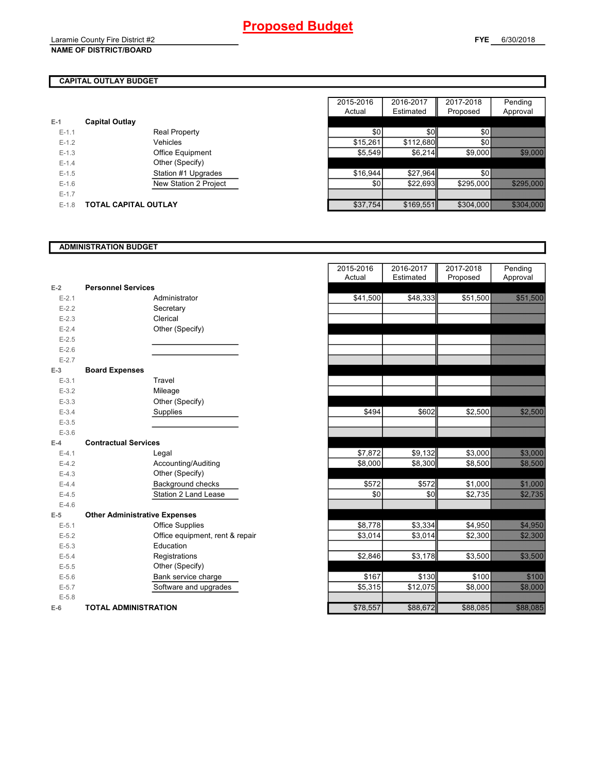### **CAPITAL OUTLAY BUDGET**

| $E-1$     | <b>Capital Outlay</b> |                         |
|-----------|-----------------------|-------------------------|
| $E - 1.1$ |                       | <b>Real Property</b>    |
| $F-12$    |                       | Vehicles                |
| $F-1.3$   |                       | <b>Office Equipment</b> |
| $F-14$    |                       | Other (Specify)         |
| $F-1.5$   |                       | Station #1 Upgrades     |
| $F-16$    |                       | New Station 2 Project   |
| $E - 1.7$ |                       |                         |
| $F-1.8$   | TOTAL CAPITAL OUTLAY  |                         |

|         |                       |                         | 2015-2016 | 2016-2017 | 2017-2018 | Pending                      |
|---------|-----------------------|-------------------------|-----------|-----------|-----------|------------------------------|
|         |                       |                         | Actual    | Estimated | Proposed  | Approval                     |
|         | <b>Capital Outlay</b> |                         |           |           |           |                              |
| $E-1.1$ |                       | <b>Real Property</b>    | \$0       | \$0       | \$0       |                              |
| $E-1.2$ |                       | Vehicles                | \$15,261  | \$112,680 | \$0       |                              |
| $E-1.3$ |                       | <b>Office Equipment</b> | \$5,549   | \$6,214   | \$9,000   |                              |
| $E-1.4$ |                       | Other (Specify)         |           |           |           |                              |
| $E-1.5$ |                       | Station #1 Upgrades     | \$16,944  | \$27,964  | \$0       |                              |
| $E-1.6$ |                       | New Station 2 Project   | \$0       | \$22.693  | \$295,000 | <u> Elizabeth Charles Co</u> |
| $E-1.7$ |                       |                         |           |           |           |                              |
| $E-1.8$ | TOTAL CAPITAL OUTLAY  |                         | \$37,754  | \$169,551 | \$304,000 | <u> Estados de Santia</u>    |

#### **ADMINISTRATION BUDGET**

| $E-2$     | <b>Personnel Services</b>            |                              |
|-----------|--------------------------------------|------------------------------|
| $E - 2.1$ |                                      | Administrator                |
| $E - 2.2$ |                                      | Secretary                    |
| $E - 2.3$ |                                      | Clerical                     |
| $E - 2.4$ |                                      | Other (Specify)              |
| $E - 2.5$ |                                      |                              |
| $E - 2.6$ |                                      |                              |
| $E - 2.7$ |                                      |                              |
| $E-3$     | <b>Board Expenses</b>                |                              |
| $E - 3.1$ |                                      | Travel                       |
| $E - 3.2$ |                                      | Mileage                      |
| $E - 3.3$ |                                      | Other (Specify)              |
| $E - 3.4$ |                                      | Supplies                     |
| $E - 3.5$ |                                      |                              |
| $E - 3.6$ |                                      |                              |
| $F-4$     | <b>Contractual Services</b>          |                              |
| $E - 4.1$ |                                      | Legal                        |
| $E-4.2$   |                                      | Accounting/Auditing          |
| $E - 4.3$ |                                      | Other (Specify)              |
| $E-4.4$   |                                      | Background checks            |
| $E-4.5$   |                                      | Station 2 Land Lease         |
| $E-4.6$   |                                      |                              |
| $E-5$     | <b>Other Administrative Expenses</b> |                              |
| $E - 5.1$ |                                      | <b>Office Supplies</b>       |
| $E - 5.2$ |                                      | Office equipment, rent & rep |
| $E - 5.3$ |                                      | Education                    |
| $E - 5.4$ |                                      | Registrations                |
| $E - 5.5$ |                                      | Other (Specify)              |
| $E - 5.6$ |                                      | Bank service charge          |
| $E - 5.7$ |                                      | Software and upgrades        |
| $E - 5.8$ |                                      |                              |
| $E-6$     | <b>TOTAL ADMINISTRATION</b>          |                              |

|                          |                                      | 2015-2016<br>Actual | 2016-2017<br>Estimated | 2017-2018<br>Proposed | Pending<br>Approval       |
|--------------------------|--------------------------------------|---------------------|------------------------|-----------------------|---------------------------|
| 2                        | <b>Personnel Services</b>            |                     |                        |                       |                           |
| $E - 2.1$                | Administrator                        | \$41,500            | \$48,333               | \$51,500              |                           |
| $E - 2.2$                | Secretary                            |                     |                        |                       |                           |
| $E - 2.3$                | Clerical                             |                     |                        |                       |                           |
| $E - 2.4$                | Other (Specify)                      |                     |                        |                       |                           |
| $E-2.5$                  |                                      |                     |                        |                       |                           |
| $E - 2.6$                |                                      |                     |                        |                       |                           |
| $E - 2.7$                |                                      |                     |                        |                       |                           |
| $\overline{\phantom{a}}$ | <b>Board Expenses</b>                |                     |                        |                       |                           |
| $E-3.1$                  | Travel                               |                     |                        |                       |                           |
| $E - 3.2$                | Mileage                              |                     |                        |                       |                           |
| $E - 3.3$                | Other (Specify)                      |                     |                        |                       |                           |
| $E - 3.4$                | Supplies                             | \$494               | \$602                  | \$2,500               |                           |
| $E - 3.5$                |                                      |                     |                        |                       |                           |
| $E - 3.6$                |                                      |                     |                        |                       |                           |
| ļ.                       | <b>Contractual Services</b>          |                     |                        |                       |                           |
| $E - 4.1$                | Legal                                | \$7,872             | \$9,132                | \$3,000               | 88.888                    |
| $E - 4.2$                | Accounting/Auditing                  | \$8,000             | \$8,300                | \$8,500               | ,,,,,,,,,,,,,,,,          |
| $E-4.3$                  | Other (Specify)                      |                     |                        |                       |                           |
| $E - 4.4$                | Background checks                    | \$572               | \$572                  | \$1,000               |                           |
| $E-4.5$                  | Station 2 Land Lease                 | \$0                 | \$0                    | \$2,735               | <u>startin e</u>          |
| $E - 4.6$                |                                      |                     |                        |                       |                           |
| $\overline{\phantom{a}}$ | <b>Other Administrative Expenses</b> |                     |                        |                       |                           |
| $E - 5.1$                | <b>Office Supplies</b>               | \$8,778             | \$3,334                | \$4,950               | <b>1944 - 1955 - 1966</b> |
| $E - 5.2$                | Office equipment, rent & repair      | \$3,014             | \$3,014                | \$2,300               | <u>salah seba</u>         |
| $E - 5.3$                | Education                            |                     |                        |                       |                           |
| $E - 5.4$                | Registrations                        | \$2,846             | \$3,178                | \$3,500               | <b>1979 - 1989</b>        |
| $E - 5.5$                | Other (Specify)                      |                     |                        |                       |                           |
| $E - 5.6$                | Bank service charge                  | \$167               | \$130                  | \$100                 |                           |
| $E - 5.7$                | Software and upgrades                | \$5,315             | \$12,075               | \$8,000               | 55. 35.                   |
| $E - 5.8$                |                                      |                     |                        |                       |                           |
| ŝ                        | <b>TOTAL ADMINISTRATION</b>          | \$78,557            | \$88,672               | \$88,085              | <b>SEE ALE</b>            |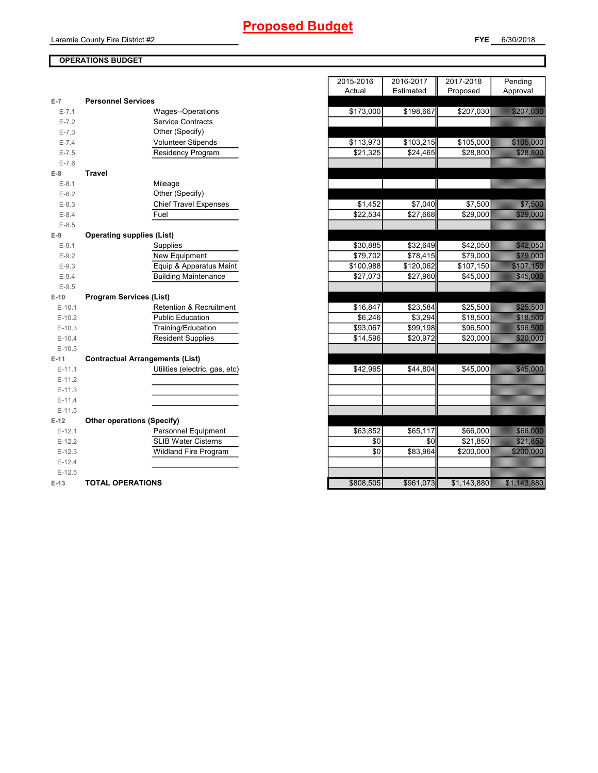## **OPERATIONS BUDGET**

| $E-7$     | <b>Personnel Services</b>              |           |                       |                      |                                                                                         |
|-----------|----------------------------------------|-----------|-----------------------|----------------------|-----------------------------------------------------------------------------------------|
| $E - 7.1$ | Wages--Operations                      | \$173,000 | \$198,667             | \$207,030            |                                                                                         |
| $E - 7.2$ | <b>Service Contracts</b>               |           |                       |                      |                                                                                         |
| $E - 7.3$ | Other (Specify)                        |           |                       |                      |                                                                                         |
| $E - 7.4$ | <b>Volunteer Stipends</b>              | \$113,973 | $\overline{$103,215}$ | \$105,000            |                                                                                         |
| $E - 7.5$ | Residency Program                      | \$21,325  | \$24,465              | \$28,800             | 3232333                                                                                 |
| $E - 7.6$ |                                        |           |                       |                      |                                                                                         |
| $E-8$     | <b>Travel</b>                          |           |                       |                      |                                                                                         |
| $E-8.1$   | Mileage                                |           |                       |                      |                                                                                         |
| $E-8.2$   | Other (Specify)                        |           |                       |                      |                                                                                         |
| $E-8.3$   | <b>Chief Travel Expenses</b>           | \$1,452   | \$7,040               | \$7,500              | <u> Hillings St</u>                                                                     |
| $E - 8.4$ | Fuel                                   | \$22,534  | \$27,668              | $\overline{$}29,000$ |                                                                                         |
| $E - 8.5$ |                                        |           |                       |                      |                                                                                         |
| $E-9$     | <b>Operating supplies (List)</b>       |           |                       |                      |                                                                                         |
| $E-9.1$   | Supplies                               | \$30,885  | \$32,649              | \$42,050             |                                                                                         |
| $E-9.2$   | New Equipment                          | \$79,702  | \$78,415              | \$79,000             | <b>Maria Carl</b>                                                                       |
| $E-9.3$   | Equip & Apparatus Maint                | \$100,988 | \$120,062             | \$107,150            |                                                                                         |
| $E-9.4$   | <b>Building Maintenance</b>            | \$27,073  | \$27,960              | \$45,000             | <b>1999</b>                                                                             |
| $E-9.5$   |                                        |           |                       |                      |                                                                                         |
| $E-10$    | <b>Program Services (List)</b>         |           |                       |                      |                                                                                         |
| $E-10.1$  | <b>Retention &amp; Recruitment</b>     | \$16,847  | \$23,584              | \$25,500             | <b>Side Association</b>                                                                 |
| $E-10.2$  | <b>Public Education</b>                | \$6,246   | \$3,294               | \$18,500             |                                                                                         |
| $E-10.3$  | Training/Education                     | \$93,067  | \$99,198              | \$96,500             | <b>1999 - 1999</b>                                                                      |
| $E-10.4$  | <b>Resident Supplies</b>               | \$14,596  | \$20,972              | \$20,000             | 5787888                                                                                 |
| $E-10.5$  |                                        |           |                       |                      |                                                                                         |
| $E-11$    | <b>Contractual Arrangements (List)</b> |           |                       |                      |                                                                                         |
| $E-11.1$  | Utilities (electric, gas, etc)         | \$42,965  | \$44,804              | \$45,000             | <b>1989 - 1989 - 1989 - 1989 - 1989 - 1989 - 1989 - 1989 - 1989 - 1989 - 1989 - 198</b> |
| $E-11.2$  |                                        |           |                       |                      |                                                                                         |
| $E-11.3$  |                                        |           |                       |                      |                                                                                         |
| $E-11.4$  |                                        |           |                       |                      |                                                                                         |
| $E-11.5$  |                                        |           |                       |                      |                                                                                         |
| $E-12$    | <b>Other operations (Specify)</b>      |           |                       |                      |                                                                                         |
| $E-12.1$  | Personnel Equipment                    | \$63,852  | \$65,117              | \$66,000             |                                                                                         |
| $E-12.2$  | <b>SLIB Water Cisterns</b>             | \$0       | \$0                   | \$21,850             | <u> Hillian Sta</u>                                                                     |
| $E-12.3$  | <b>Wildland Fire Program</b>           | \$0       | \$83,964              | \$200,000            | 3280 RS                                                                                 |
| $E-12.4$  |                                        |           |                       |                      |                                                                                         |
| $E-12.5$  |                                        |           |                       |                      |                                                                                         |
| $E-13$    | <b>TOTAL OPERATIONS</b>                | \$808,505 | \$961,073             | \$1,143,880          | <u> Maria Alexandro de Sant</u>                                                         |

|           |                                        | 2015-2016<br>Actual | 2016-2017<br>Estimated | 2017-2018<br>Proposed | Pending<br>Approval  |
|-----------|----------------------------------------|---------------------|------------------------|-----------------------|----------------------|
| $-7$      | <b>Personnel Services</b>              |                     |                        |                       |                      |
| $E - 7.1$ | Wages--Operations                      | \$173,000           | \$198,667              | \$207,030             | <u>SZA CZYKOCZKO</u> |
| $E - 7.2$ | <b>Service Contracts</b>               |                     |                        |                       |                      |
| $E - 7.3$ | Other (Specify)                        |                     |                        |                       |                      |
| $E - 7.4$ | Volunteer Stipends                     | \$113,973           | \$103,215              | \$105,000             | <u>e de la cont</u>  |
| $E - 7.5$ | Residency Program                      | \$21,325            | \$24,465               | \$28,800              | a a bhliain 1979.    |
| $E - 7.6$ |                                        |                     |                        |                       |                      |
| 8         | <b>Travel</b>                          |                     |                        |                       |                      |
| $E-8.1$   | Mileage                                |                     |                        |                       |                      |
| $E-8.2$   | Other (Specify)                        |                     |                        |                       |                      |
| $E-8.3$   | <b>Chief Travel Expenses</b>           | \$1,452             | \$7,040                | \$7,500               | <b>SAMARISTA</b>     |
| $E-8.4$   | Fuel                                   | \$22,534            | \$27,668               | \$29,000              | 323 SSS              |
| $E-8.5$   |                                        |                     |                        |                       |                      |
| 9         | <b>Operating supplies (List)</b>       |                     |                        |                       |                      |
| $E-9.1$   | Supplies                               | \$30,885            | \$32,649               | \$42,050              |                      |
| $E-9.2$   | New Equipment                          | \$79,702            | \$78,415               | \$79,000              | <b>1977 - 1988</b>   |
| $E-9.3$   | Equip & Apparatus Maint                | \$100,988           | \$120,062              | \$107,150             | <u>SAMASI</u>        |
| $E-9.4$   | <b>Building Maintenance</b>            | \$27,073            | \$27,960               | \$45,000              | 545.888              |
| $E-9.5$   |                                        |                     |                        |                       |                      |
| $-10$     | <b>Program Services (List)</b>         |                     |                        |                       |                      |
| $E-10.1$  | Retention & Recruitment                | \$16,847            | \$23,584               | \$25,500              | <b>STATISTICS</b>    |
| $E-10.2$  | <b>Public Education</b>                | \$6.246             | \$3.294                | \$18,500              | 57.8.15.00           |
| $E-10.3$  | Training/Education                     | \$93,067            | \$99,198               | \$96,500              | a a shekarar 200     |
| $E-10.4$  | <b>Resident Supplies</b>               | \$14,596            | \$20,972               | \$20,000              | 528 888              |
| $E-10.5$  |                                        |                     |                        |                       |                      |
| $-11$     | <b>Contractual Arrangements (List)</b> |                     |                        |                       |                      |
| $E-11.1$  | Utilities (electric, gas, etc)         | \$42,965            | \$44,804               | \$45,000              | 545.888              |
| $E-11.2$  |                                        |                     |                        |                       |                      |
| $E-11.3$  |                                        |                     |                        |                       |                      |
| $E-11.4$  |                                        |                     |                        |                       |                      |
| $E-11.5$  |                                        |                     |                        |                       |                      |
| 12        | <b>Other operations (Specify)</b>      |                     |                        |                       |                      |
| $E-12.1$  | Personnel Equipment                    | \$63,852            | \$65,117               | \$66,000              | <b>388 MAY</b>       |
| $E-12.2$  | <b>SLIB Water Cisterns</b>             | \$0                 | \$0                    | \$21,850              | <u>Silik Bisto</u>   |
| $E-12.3$  | <b>Wildland Fire Program</b>           | \$0                 | \$83,964               | \$200,000             | 32. SO 866           |
| $E-12.4$  |                                        |                     |                        |                       |                      |
| $E-12.5$  |                                        |                     |                        |                       |                      |
| $-13$     | <b>TOTAL OPERATIONS</b>                | \$808,505           | \$961,073              | \$1,143,880           | USA MARAGA KA        |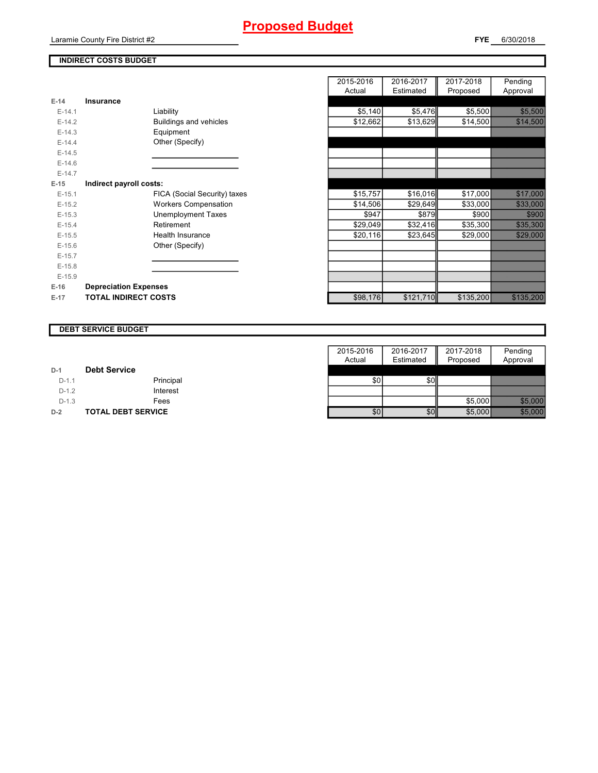#### **INDIRECT COSTS BUDGET**

| E-14     | Insurance                     |
|----------|-------------------------------|
| $F-141$  | Liability                     |
| $E-14.2$ | <b>Buildings and vehicles</b> |
| $F-14.3$ | Equipment                     |
| $E-14.4$ | Other (Specify)               |
| $E-14.5$ |                               |
| $F-146$  |                               |
| $F-147$  |                               |
| $E-15$   | Indirect payroll costs:       |
| $E-15.1$ | FICA (Social Security) taxes  |
| $E-15.2$ | <b>Workers Compensation</b>   |
| $E-15.3$ | <b>Unemployment Taxes</b>     |
| $F-154$  | Retirement                    |
| $E-15.5$ | Health Insurance              |
| $E-15.6$ | Other (Specify)               |
| $E-15.7$ |                               |
| $E-15.8$ |                               |
| $E-15.9$ |                               |
| $E-16$   | <b>Depreciation Expenses</b>  |
| $E-17$   | <b>TOTAL INDIRECT COSTS</b>   |

|          |                              | 2015-2016 | 2016-2017 | 2017-2018 | Pending            |
|----------|------------------------------|-----------|-----------|-----------|--------------------|
|          |                              | Actual    | Estimated | Proposed  | Approval           |
| $E-14$   | Insurance                    |           |           |           |                    |
| $E-14.1$ | Liability                    | \$5,140   | \$5,476   | \$5,500   |                    |
| $E-14.2$ | Buildings and vehicles       | \$12,662  | \$13,629  | \$14,500  |                    |
| $E-14.3$ | Equipment                    |           |           |           |                    |
| $E-14.4$ | Other (Specify)              |           |           |           |                    |
| $E-14.5$ |                              |           |           |           |                    |
| $E-14.6$ |                              |           |           |           |                    |
| $E-14.7$ |                              |           |           |           |                    |
| $E-15$   | Indirect payroll costs:      |           |           |           |                    |
| $E-15.1$ | FICA (Social Security) taxes | \$15,757  | \$16,016  | \$17,000  |                    |
| $E-15.2$ | <b>Workers Compensation</b>  | \$14,506  | \$29,649  | \$33,000  | 333 ROS            |
| $E-15.3$ | <b>Unemployment Taxes</b>    | \$947     | \$879     | \$900     | 83 M               |
| $E-15.4$ | Retirement                   | \$29,049  | \$32,416  | \$35,300  |                    |
| $E-15.5$ | <b>Health Insurance</b>      | \$20,116  | \$23,645  | \$29,000  |                    |
| $E-15.6$ | Other (Specify)              |           |           |           |                    |
| $E-15.7$ |                              |           |           |           |                    |
| $E-15.8$ |                              |           |           |           |                    |
| $E-15.9$ |                              |           |           |           |                    |
| E-16     | <b>Depreciation Expenses</b> |           |           |           |                    |
| $E-17$   | <b>TOTAL INDIRECT COSTS</b>  | \$98,176  | \$121,710 | \$135,200 | <u> Karalinski</u> |
|          |                              |           |           |           |                    |

#### **DEBT SERVICE BUDGET**

|         |                           | 2015-2016 | 2016-2017 | 2017-2018 | Pending                                                                                                                                                                                                                        |
|---------|---------------------------|-----------|-----------|-----------|--------------------------------------------------------------------------------------------------------------------------------------------------------------------------------------------------------------------------------|
|         |                           | Actual    | Estimated | Proposed  | Approval                                                                                                                                                                                                                       |
| $D-1$   | <b>Debt Service</b>       |           |           |           |                                                                                                                                                                                                                                |
| $D-1.1$ | Principal                 | \$0       | \$0       |           |                                                                                                                                                                                                                                |
| $D-1.2$ | Interest                  |           |           |           |                                                                                                                                                                                                                                |
| $D-1.3$ | Fees                      |           |           | \$5,000   | <b>1989 - 1989 - 1989</b>                                                                                                                                                                                                      |
| $D-2$   | <b>TOTAL DEBT SERVICE</b> | \$0       | \$0       | \$5,000   | 1999 - 1999 - 1999 - 1999 - 1999 - 1999 - 1999 - 1999 - 1999 - 1999 - 1999 - 1999 - 1999 - 1999 - 1999 - 1999<br>1999 - 1999 - 1999 - 1999 - 1999 - 1999 - 1999 - 1999 - 1999 - 1999 - 1999 - 1999 - 1999 - 1999 - 1999 - 1999 |